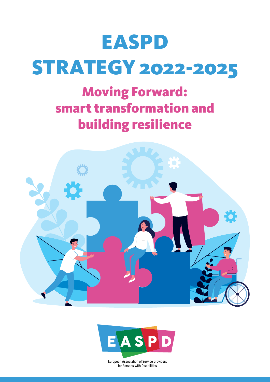# EASPD STRATEGY 2022-2025

# Moving Forward: smart transformation and building resilience





European Association of Service providers for Persons with Disabilities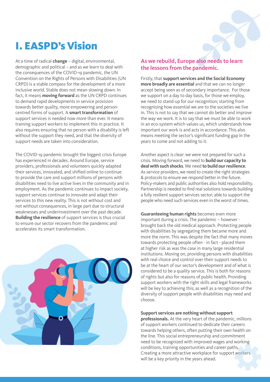## I. EASPD's Vision

At a time of radical **change** – digital, environmental, demographic and political – and as we learn to deal with the consequences of the COVID-19 pandemic, the UN Convention on the Rights of Persons with Disabilities (UN CRPD) is a stable compass for the development of a more inclusive world. Stable does not mean slowing down. In fact, it means **moving forward** as the UN CRPD continues to demand rapid developments in service provision towards better quality, more empowering and personcentred forms of support. A **smart transformation** of support services is needed now more than ever. It means training support workers to implement this in practice. It also requires ensuring that no person with a disability is left without the support they need, and that the diversity of support needs are taken into consideration.

The COVID-19 pandemic brought the biggest crisis Europe has experienced in decades. Around Europe, service providers, professionals and volunteers quickly adapted their services, innovated, and shifted online to continue to provide the care and support millions of persons with disabilities need to live active lives in the community and in employment. As the pandemic continues to impact society, support services continue to innovate and adapt their services to this new reality. This is not without cost and not without consequences, in large part due to structural weaknesses and underinvestment over the past decade. **Building the resilience** of support services is thus crucial to ensure our sector recovers from the pandemic and accelerates its smart transformation.



#### **As we rebuild, Europe also needs to learn the lessons from the pandemic.**

Firstly, that **support services and the Social Economy more broadly are essential** and that we can no longer accept being seen as of secondary importance. For those we support on a day to day basis, for those we employ, we need to stand-up for our recognition; starting from recognising how essential we are to the societies we live in. This is not to say that we cannot do better and improve the way we work. It is to say that we must be able to work in an eco-system which values us, which understands how important our work is and acts in accordance. This also means meeting the sector's significant funding gap in the years to come and not adding to it.

Another aspect is clear: we were not prepared for such a crisis. Moving forward, we need to **build our capacity to deal with such shocks**. We need **to build our resilience**. As service providers, we need to create the right strategies & protocols to ensure we respond better in the future. Policy-makers and public authorities also hold responsibility. Partnership is needed to find real solutions towards building a fully resilient support services sector; able to support the people who need such services even in the worst of times.

**Guaranteeing human rights** becomes even more important during a crisis. The pandemic – however brought back the old medical approach. Protecting people with disabilities by segregating them became more and more the norm. This was despite the fact that many moves towards protecting people often - in fact - placed them at higher risk as was the case in many large residential institutions. Moving on, providing persons with disabilities with real choice and control over their support needs to be at the heart of our sector's development and of what is considered to be a quality service. This is both for reasons of rights but also for reasons of public health. Providing support workers with the right skills and legal frameworks will be key to achieving this; as well as a recognition of the diversity of support people with disabilities may need and choose.

#### **Support services are nothing without support**

**professionals.** At the very heart of the pandemic, millions of support workers continued to dedicate their careers towards helping others, often putting their own health on the line. This social entrepreneurship and commitment need to be recognized with improved wages and working conditions, training opportunities and career paths. Creating a more attractive workplace for support workers will be a key priority in the years ahead.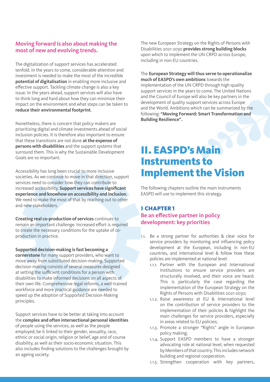#### **Moving forward is also about making the most of new and evolving trends.**

The digitalization of support services has accelerated tenfold. In the years to come, considerable attention and investment is needed to make the most of the incredible **potential of digitalisation** in enabling more inclusive and effective support. Tackling climate change is also a key issue. In the years ahead, support services will also have to think long and hard about how they can minimize their impact on the environment and what steps can be taken to **reduce their environmental footprint**.

Nonetheless, there is concern that policy-makers are prioritizing digital and climate investments ahead of social inclusion policies. It is therefore also important to ensure that these transitions are not done **at the expense of persons with disabilities** and the support systems that surround them. This is why the Sustainable Development Goals are so important.

Accessibility has long been crucial to more inclusive societies. As we continue to move in that direction, support services need to consider how they can contribute to increased accessibility. **Support services have significant experience and knowhow on accessibility and inclusion**. We need to make the most of that by reaching out to other and new stakeholders.

**Creating real co-production of services** continues to remain an important challenge. Increased effort is required to create the necessary conditions for the uptake of coproduction in practice.

**Supported decision-making is fast becoming a cornerstone** for many support providers, who want to move away from substituted decision-making. Supported decision making consists of several measures designed at setting the sufficient conditions for a person with disabilities to make informed decisions on all aspects of their own life. Comprehensive legal reforms, a well-trained workforce and more practical guidance are needed to speed up the adoption of Supported Decision-Making principles.

Support services have to be better at taking into account the **complex and often intersectional personal identities** of people using the services, as well as the people employed; be it linked to their gender, sexuality, race, ethnic or social origin, religion or belief, age and of course disability, as well as their socio-economic situation. This also includes finding solutions to the challenges brought by an ageing society.

The new European Strategy on the Rights of Persons with Disabilities 2021-2030 **provides strong building blocks** upon which to implement the UN CRPD across Europe, including in non-EU countries.

The **European Strategy will thus serve to operationalize much of EASPD's own ambitions** towards the implementation of the UN CRPD through high-quality support services in the years to come. The United Nations and the Council of Europe will also be key partners in the development of quality support services across Europe and the World. Ambitions which can be summarized by the following: **"Moving Forward: Smart Transformation and Building Resilience".**

### II. EASPD's Main Instruments to Implement the Vision

The following chapters outline the main instruments EASPD will use to implement this strategy.

#### ❱ CHAPTER 1

**Be an effective partner in policy development: key priorities**

- 1.1. Be a strong partner for authorities & clear voice for service providers by monitoring and influencing policy development at the European, including in non-EU countries, and international level & follow how these policies are implemented at national level:
	- 1.1.1. Partner with the European and International Institutions to ensure service providers are structurally involved, and their voice are heard. This is particularly the case regarding the implementation of the European Strategy on the Rights of Persons with Disabilities 2021-2030;
	- 1.1.2. Raise awareness at EU & International level on the contribution of service providers to the implementation of their policies & highlight the main challenges for service providers, especially in areas related to EU policies;
	- 1.1.3. Promote a stronger "Rights" angle in European policy making;
	- 1.1.4. Support EASPD members to have a stronger advocating role at national level, when requested by Members of that country. This includes network building and regional cooperation.
	- 1.1.5. Strengthen cooperation with key partners,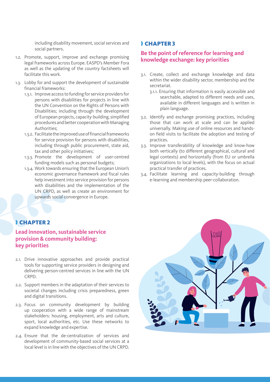including disability movement, social services and social partners.

- 1.2. Promote, support, improve and exchange promising legal frameworks across Europe. EASPD's Member Fora as well as the updating of the country factsheets will facilitate this work.
- 1.3. Lobby for and support the development of sustainable financial frameworks:
	- 1.3.1. Improve access to funding for service providers for persons with disabilities for projects in line with the UN Convention on the Rights of Persons with Disabilities; including through the development of European projects, capacity-building, simplified procedures and better cooperation with Managing Authorities;
	- 1.3.2. Facilitate the improved use of financial frameworks for service provision for persons with disabilities, including through public procurement, state aid, tax and other policy initiatives;
	- 1.3.3. Promote the development of user-centred funding models such as personal budgets;
	- 1.3.4. Work towards ensuring that the European Union's economic governance framework and fiscal rules help investment into service provision for persons with disabilities and the implementation of the UN CRPD, as well as create an environment for upwards social convergence in Europe.

#### ❱ CHAPTER 3

#### **Be the point of reference for learning and knowledge exchange: key priorities**

- 3.1. Create, collect and exchange knowledge and data within the wider disability sector, membership and the secretariat.
	- 3.1.1. Ensuring that information is easily accessible and searchable, adapted to different needs and uses, available in different languages and is written in plain language.
- 3.2. Identify and exchange promising practices, including those that can work at scale and can be applied universally. Making use of online resources and handson field visits to facilitate the adoption and testing of practices.
- 3.3. Improve transferability of knowledge and know-how both vertically (to different geographical, cultural and legal contexts) and horizontally (from EU or umbrella organizations to local levels), with the focus on actual practical transfer of practices.
- 3.4. Facilitate learning and capacity-building through e-learning and membership peer-collaboration.

#### ❱ CHAPTER 2

#### **Lead innovation, sustainable service provision & community building: key priorities**

- 2.1. Drive innovative approaches and provide practical tools for supporting service providers in designing and delivering person-centred services in line with the UN CRPD.
- 2.2. Support members in the adaptation of their services to societal changes including crisis preparedness, green and digital transitions.
- 2.3. Focus on community development by building up cooperation with a wide range of mainstream stakeholders: housing, employment, arts and culture, sport, local authorities, etc. Use these networks to expand knowledge and expertise.
- 2.4. Ensure that the de-centralization of services and development of community-based social services at a local level is in line with the objectives of the UN CRPD.